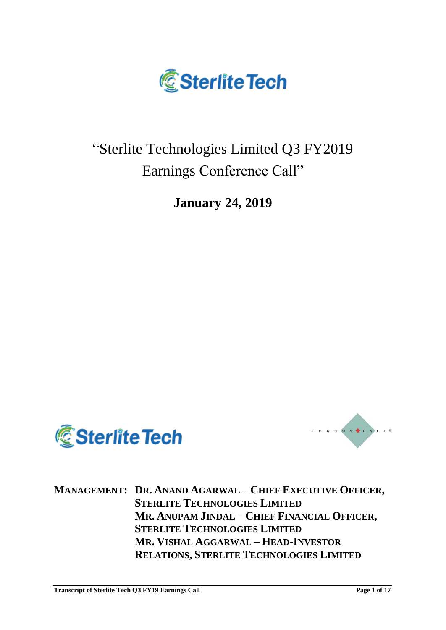

# "Sterlite Technologies Limited Q3 FY2019 Earnings Conference Call"

**January 24, 2019**





**MANAGEMENT: DR. ANAND AGARWAL – CHIEF EXECUTIVE OFFICER, STERLITE TECHNOLOGIES LIMITED MR. ANUPAM JINDAL – CHIEF FINANCIAL OFFICER, STERLITE TECHNOLOGIES LIMITED MR. VISHAL AGGARWAL – HEAD-INVESTOR RELATIONS, STERLITE TECHNOLOGIES LIMITED**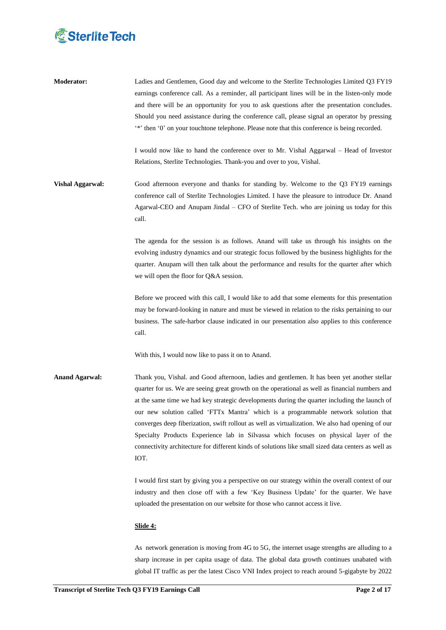# **& Sterlite Tech**

**Moderator:** Ladies and Gentlemen, Good day and welcome to the Sterlite Technologies Limited Q3 FY19 earnings conference call. As a reminder, all participant lines will be in the listen-only mode and there will be an opportunity for you to ask questions after the presentation concludes. Should you need assistance during the conference call, please signal an operator by pressing \*\*' then '0' on your touchtone telephone. Please note that this conference is being recorded.

> I would now like to hand the conference over to Mr. Vishal Aggarwal – Head of Investor Relations, Sterlite Technologies. Thank-you and over to you, Vishal.

**Vishal Aggarwal:** Good afternoon everyone and thanks for standing by. Welcome to the Q3 FY19 earnings conference call of Sterlite Technologies Limited. I have the pleasure to introduce Dr. Anand Agarwal-CEO and Anupam Jindal – CFO of Sterlite Tech. who are joining us today for this call.

> The agenda for the session is as follows. Anand will take us through his insights on the evolving industry dynamics and our strategic focus followed by the business highlights for the quarter. Anupam will then talk about the performance and results for the quarter after which we will open the floor for Q&A session.

> Before we proceed with this call, I would like to add that some elements for this presentation may be forward-looking in nature and must be viewed in relation to the risks pertaining to our business. The safe-harbor clause indicated in our presentation also applies to this conference call.

With this, I would now like to pass it on to Anand.

**Anand Agarwal:** Thank you, Vishal. and Good afternoon, ladies and gentlemen. It has been yet another stellar quarter for us. We are seeing great growth on the operational as well as financial numbers and at the same time we had key strategic developments during the quarter including the launch of our new solution called "FTTx Mantra" which is a programmable network solution that converges deep fiberization, swift rollout as well as virtualization. We also had opening of our Specialty Products Experience lab in Silvassa which focuses on physical layer of the connectivity architecture for different kinds of solutions like small sized data centers as well as IOT.

> I would first start by giving you a perspective on our strategy within the overall context of our industry and then close off with a few "Key Business Update" for the quarter. We have uploaded the presentation on our website for those who cannot access it live.

# **Slide 4:**

As network generation is moving from 4G to 5G, the internet usage strengths are alluding to a sharp increase in per capita usage of data. The global data growth continues unabated with global IT traffic as per the latest Cisco VNI Index project to reach around 5-gigabyte by 2022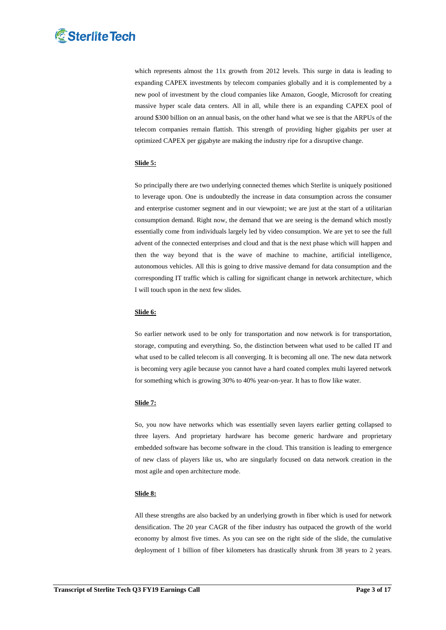

which represents almost the 11x growth from 2012 levels. This surge in data is leading to expanding CAPEX investments by telecom companies globally and it is complemented by a new pool of investment by the cloud companies like Amazon, Google, Microsoft for creating massive hyper scale data centers. All in all, while there is an expanding CAPEX pool of around \$300 billion on an annual basis, on the other hand what we see is that the ARPUs of the telecom companies remain flattish. This strength of providing higher gigabits per user at optimized CAPEX per gigabyte are making the industry ripe for a disruptive change.

# **Slide 5:**

So principally there are two underlying connected themes which Sterlite is uniquely positioned to leverage upon. One is undoubtedly the increase in data consumption across the consumer and enterprise customer segment and in our viewpoint; we are just at the start of a utilitarian consumption demand. Right now, the demand that we are seeing is the demand which mostly essentially come from individuals largely led by video consumption. We are yet to see the full advent of the connected enterprises and cloud and that is the next phase which will happen and then the way beyond that is the wave of machine to machine, artificial intelligence, autonomous vehicles. All this is going to drive massive demand for data consumption and the corresponding IT traffic which is calling for significant change in network architecture, which I will touch upon in the next few slides.

### **Slide 6:**

So earlier network used to be only for transportation and now network is for transportation, storage, computing and everything. So, the distinction between what used to be called IT and what used to be called telecom is all converging. It is becoming all one. The new data network is becoming very agile because you cannot have a hard coated complex multi layered network for something which is growing 30% to 40% year-on-year. It has to flow like water.

# **Slide 7:**

So, you now have networks which was essentially seven layers earlier getting collapsed to three layers. And proprietary hardware has become generic hardware and proprietary embedded software has become software in the cloud. This transition is leading to emergence of new class of players like us, who are singularly focused on data network creation in the most agile and open architecture mode.

#### **Slide 8:**

All these strengths are also backed by an underlying growth in fiber which is used for network densification. The 20 year CAGR of the fiber industry has outpaced the growth of the world economy by almost five times. As you can see on the right side of the slide, the cumulative deployment of 1 billion of fiber kilometers has drastically shrunk from 38 years to 2 years.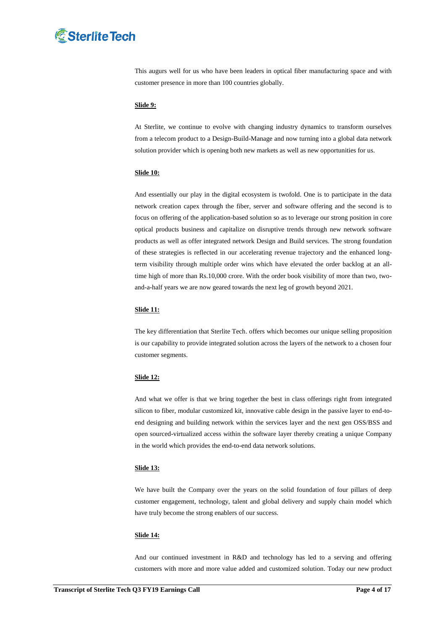# **& Sterlite Tech**

This augurs well for us who have been leaders in optical fiber manufacturing space and with customer presence in more than 100 countries globally.

# **Slide 9:**

At Sterlite, we continue to evolve with changing industry dynamics to transform ourselves from a telecom product to a Design-Build-Manage and now turning into a global data network solution provider which is opening both new markets as well as new opportunities for us.

#### **Slide 10:**

And essentially our play in the digital ecosystem is twofold. One is to participate in the data network creation capex through the fiber, server and software offering and the second is to focus on offering of the application-based solution so as to leverage our strong position in core optical products business and capitalize on disruptive trends through new network software products as well as offer integrated network Design and Build services. The strong foundation of these strategies is reflected in our accelerating revenue trajectory and the enhanced longterm visibility through multiple order wins which have elevated the order backlog at an alltime high of more than Rs.10,000 crore. With the order book visibility of more than two, twoand-a-half years we are now geared towards the next leg of growth beyond 2021.

#### **Slide 11:**

The key differentiation that Sterlite Tech. offers which becomes our unique selling proposition is our capability to provide integrated solution across the layers of the network to a chosen four customer segments.

#### **Slide 12:**

And what we offer is that we bring together the best in class offerings right from integrated silicon to fiber, modular customized kit, innovative cable design in the passive layer to end-toend designing and building network within the services layer and the next gen OSS/BSS and open sourced-virtualized access within the software layer thereby creating a unique Company in the world which provides the end-to-end data network solutions.

#### **Slide 13:**

We have built the Company over the years on the solid foundation of four pillars of deep customer engagement, technology, talent and global delivery and supply chain model which have truly become the strong enablers of our success.

### **Slide 14:**

And our continued investment in R&D and technology has led to a serving and offering customers with more and more value added and customized solution. Today our new product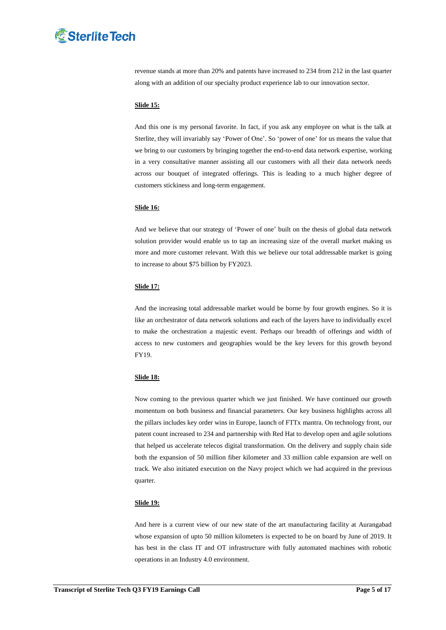

revenue stands at more than 20% and patents have increased to 234 from 212 in the last quarter along with an addition of our specialty product experience lab to our innovation sector.

# **Slide 15:**

And this one is my personal favorite. In fact, if you ask any employee on what is the talk at Sterlite, they will invariably say 'Power of One'. So 'power of one' for us means the value that we bring to our customers by bringing together the end-to-end data network expertise, working in a very consultative manner assisting all our customers with all their data network needs across our bouquet of integrated offerings. This is leading to a much higher degree of customers stickiness and long-term engagement.

# **Slide 16:**

And we believe that our strategy of "Power of one" built on the thesis of global data network solution provider would enable us to tap an increasing size of the overall market making us more and more customer relevant. With this we believe our total addressable market is going to increase to about \$75 billion by FY2023.

#### **Slide 17:**

And the increasing total addressable market would be borne by four growth engines. So it is like an orchestrator of data network solutions and each of the layers have to individually excel to make the orchestration a majestic event. Perhaps our breadth of offerings and width of access to new customers and geographies would be the key levers for this growth beyond FY19.

#### **Slide 18:**

Now coming to the previous quarter which we just finished. We have continued our growth momentum on both business and financial parameters. Our key business highlights across all the pillars includes key order wins in Europe, launch of FTTx mantra. On technology front, our patent count increased to 234 and partnership with Red Hat to develop open and agile solutions that helped us accelerate telecos digital transformation. On the delivery and supply chain side both the expansion of 50 million fiber kilometer and 33 million cable expansion are well on track. We also initiated execution on the Navy project which we had acquired in the previous quarter.

# **Slide 19:**

And here is a current view of our new state of the art manufacturing facility at Aurangabad whose expansion of upto 50 million kilometers is expected to be on board by June of 2019. It has best in the class IT and OT infrastructure with fully automated machines with robotic operations in an Industry 4.0 environment.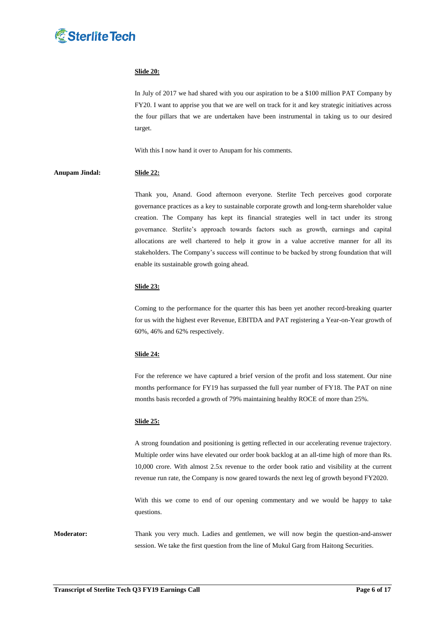

# **Slide 20:**

In July of 2017 we had shared with you our aspiration to be a \$100 million PAT Company by FY20. I want to apprise you that we are well on track for it and key strategic initiatives across the four pillars that we are undertaken have been instrumental in taking us to our desired target.

With this I now hand it over to Anupam for his comments.

# **Anupam Jindal: Slide 22:**

Thank you, Anand. Good afternoon everyone. Sterlite Tech perceives good corporate governance practices as a key to sustainable corporate growth and long-term shareholder value creation. The Company has kept its financial strategies well in tact under its strong governance. Sterlite"s approach towards factors such as growth, earnings and capital allocations are well chartered to help it grow in a value accretive manner for all its stakeholders. The Company's success will continue to be backed by strong foundation that will enable its sustainable growth going ahead.

#### **Slide 23:**

Coming to the performance for the quarter this has been yet another record-breaking quarter for us with the highest ever Revenue, EBITDA and PAT registering a Year-on-Year growth of 60%, 46% and 62% respectively.

#### **Slide 24:**

For the reference we have captured a brief version of the profit and loss statement. Our nine months performance for FY19 has surpassed the full year number of FY18. The PAT on nine months basis recorded a growth of 79% maintaining healthy ROCE of more than 25%.

#### **Slide 25:**

A strong foundation and positioning is getting reflected in our accelerating revenue trajectory. Multiple order wins have elevated our order book backlog at an all-time high of more than Rs. 10,000 crore. With almost 2.5x revenue to the order book ratio and visibility at the current revenue run rate, the Company is now geared towards the next leg of growth beyond FY2020.

With this we come to end of our opening commentary and we would be happy to take questions.

**Moderator:** Thank you very much. Ladies and gentlemen, we will now begin the question-and-answer session. We take the first question from the line of Mukul Garg from Haitong Securities.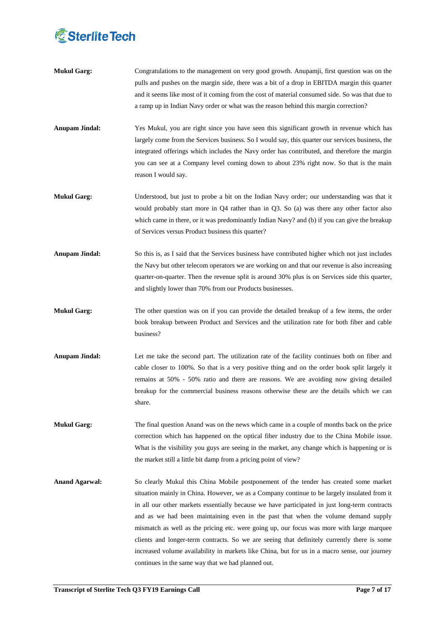

- **Mukul Garg:** Congratulations to the management on very good growth. Anupamji, first question was on the pulls and pushes on the margin side, there was a bit of a drop in EBITDA margin this quarter and it seems like most of it coming from the cost of material consumed side. So was that due to a ramp up in Indian Navy order or what was the reason behind this margin correction?
- **Anupam Jindal:** Yes Mukul, you are right since you have seen this significant growth in revenue which has largely come from the Services business. So I would say, this quarter our services business, the integrated offerings which includes the Navy order has contributed, and therefore the margin you can see at a Company level coming down to about 23% right now. So that is the main reason I would say.
- **Mukul Garg:** Understood, but just to probe a bit on the Indian Navy order; our understanding was that it would probably start more in Q4 rather than in Q3. So (a) was there any other factor also which came in there, or it was predominantly Indian Navy? and (b) if you can give the breakup of Services versus Product business this quarter?
- **Anupam Jindal:** So this is, as I said that the Services business have contributed higher which not just includes the Navy but other telecom operators we are working on and that our revenue is also increasing quarter-on-quarter. Then the revenue split is around 30% plus is on Services side this quarter, and slightly lower than 70% from our Products businesses.
- **Mukul Garg:** The other question was on if you can provide the detailed breakup of a few items, the order book breakup between Product and Services and the utilization rate for both fiber and cable business?
- **Anupam Jindal:** Let me take the second part. The utilization rate of the facility continues both on fiber and cable closer to 100%. So that is a very positive thing and on the order book split largely it remains at 50% - 50% ratio and there are reasons. We are avoiding now giving detailed breakup for the commercial business reasons otherwise these are the details which we can share.
- **Mukul Garg:** The final question Anand was on the news which came in a couple of months back on the price correction which has happened on the optical fiber industry due to the China Mobile issue. What is the visibility you guys are seeing in the market, any change which is happening or is the market still a little bit damp from a pricing point of view?
- **Anand Agarwal:** So clearly Mukul this China Mobile postponement of the tender has created some market situation mainly in China. However, we as a Company continue to be largely insulated from it in all our other markets essentially because we have participated in just long-term contracts and as we had been maintaining even in the past that when the volume demand supply mismatch as well as the pricing etc. were going up, our focus was more with large marquee clients and longer-term contracts. So we are seeing that definitely currently there is some increased volume availability in markets like China, but for us in a macro sense, our journey continues in the same way that we had planned out.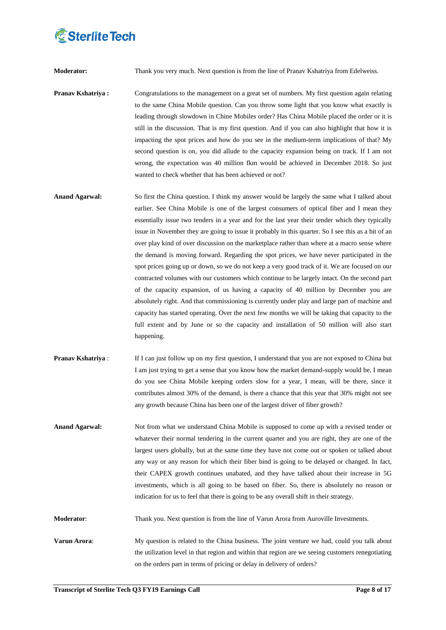

**Moderator:** Thank you very much. Next question is from the line of Pranav Kshatriya from Edelweiss.

**Pranav Kshatriya :** Congratulations to the management on a great set of numbers. My first question again relating to the same China Mobile question. Can you throw some light that you know what exactly is leading through slowdown in Chine Mobiles order? Has China Mobile placed the order or it is still in the discussion. That is my first question. And if you can also highlight that how it is impacting the spot prices and how do you see in the medium-term implications of that? My second question is on, you did allude to the capacity expansion being on track. If I am not wrong, the expectation was 40 million fkm would be achieved in December 2018. So just wanted to check whether that has been achieved or not?

- **Anand Agarwal:** So first the China question. I think my answer would be largely the same what I talked about earlier. See China Mobile is one of the largest consumers of optical fiber and I mean they essentially issue two tenders in a year and for the last year their tender which they typically issue in November they are going to issue it probably in this quarter. So I see this as a bit of an over play kind of over discussion on the marketplace rather than where at a macro sense where the demand is moving forward. Regarding the spot prices, we have never participated in the spot prices going up or down, so we do not keep a very good track of it. We are focused on our contracted volumes with our customers which continue to be largely intact. On the second part of the capacity expansion, of us having a capacity of 40 million by December you are absolutely right. And that commissioning is currently under play and large part of machine and capacity has started operating. Over the next few months we will be taking that capacity to the full extent and by June or so the capacity and installation of 50 million will also start happening.
- **Pranav Kshatriya :** If I can just follow up on my first question, I understand that you are not exposed to China but I am just trying to get a sense that you know how the market demand-supply would be. I mean do you see China Mobile keeping orders slow for a year, I mean, will be there, since it contributes almost 30% of the demand, is there a chance that this year that 30% might not see any growth because China has been one of the largest driver of fiber growth?
- **Anand Agarwal:** Not from what we understand China Mobile is supposed to come up with a revised tender or whatever their normal tendering in the current quarter and you are right, they are one of the largest users globally, but at the same time they have not come out or spoken or talked about any way or any reason for which their fiber bind is going to be delayed or changed. In fact, their CAPEX growth continues unabated, and they have talked about their increase in 5G investments, which is all going to be based on fiber. So, there is absolutely no reason or indication for us to feel that there is going to be any overall shift in their strategy.

**Moderator**: Thank you. Next question is from the line of Varun Arora from Auroville Investments.

**Varun Arora:** My question is related to the China business. The joint venture we had, could you talk about the utilization level in that region and within that region are we seeing customers renegotiating on the orders part in terms of pricing or delay in delivery of orders?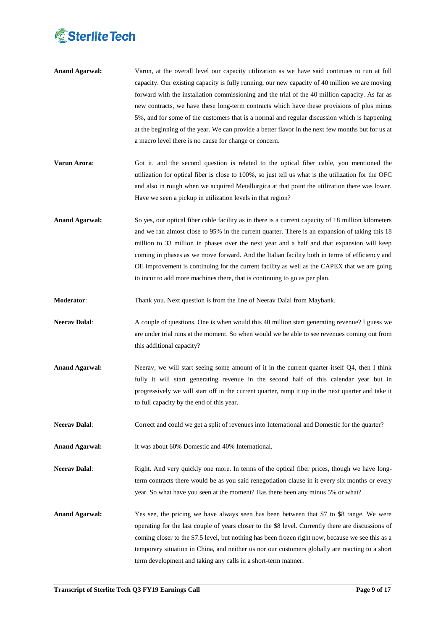

- **Anand Agarwal:** Varun, at the overall level our capacity utilization as we have said continues to run at full capacity. Our existing capacity is fully running, our new capacity of 40 million we are moving forward with the installation commissioning and the trial of the 40 million capacity. As far as new contracts, we have these long-term contracts which have these provisions of plus minus 5%, and for some of the customers that is a normal and regular discussion which is happening at the beginning of the year. We can provide a better flavor in the next few months but for us at a macro level there is no cause for change or concern.
- **Varun Arora:** Got it. and the second question is related to the optical fiber cable, you mentioned the utilization for optical fiber is close to 100%, so just tell us what is the utilization for the OFC and also in rough when we acquired Metallurgica at that point the utilization there was lower. Have we seen a pickup in utilization levels in that region?
- **Anand Agarwal:** So yes, our optical fiber cable facility as in there is a current capacity of 18 million kilometers and we ran almost close to 95% in the current quarter. There is an expansion of taking this 18 million to 33 million in phases over the next year and a half and that expansion will keep coming in phases as we move forward. And the Italian facility both in terms of efficiency and OE improvement is continuing for the current facility as well as the CAPEX that we are going to incur to add more machines there, that is continuing to go as per plan.
- **Moderator**: Thank you. Next question is from the line of Neerav Dalal from Maybank.
- **Neerav Dalal:** A couple of questions. One is when would this 40 million start generating revenue? I guess we are under trial runs at the moment. So when would we be able to see revenues coming out from this additional capacity?
- **Anand Agarwal:** Neerav, we will start seeing some amount of it in the current quarter itself Q4, then I think fully it will start generating revenue in the second half of this calendar year but in progressively we will start off in the current quarter, ramp it up in the next quarter and take it to full capacity by the end of this year.
- **Neerav Dalal:** Correct and could we get a split of revenues into International and Domestic for the quarter?
- **Anand Agarwal:** It was about 60% Domestic and 40% International.
- **Neerav Dalal:** Right. And very quickly one more. In terms of the optical fiber prices, though we have longterm contracts there would be as you said renegotiation clause in it every six months or every year. So what have you seen at the moment? Has there been any minus 5% or what?
- Anand Agarwal: Yes see, the pricing we have always seen has been between that \$7 to \$8 range. We were operating for the last couple of years closer to the \$8 level. Currently there are discussions of coming closer to the \$7.5 level, but nothing has been frozen right now, because we see this as a temporary situation in China, and neither us nor our customers globally are reacting to a short term development and taking any calls in a short-term manner.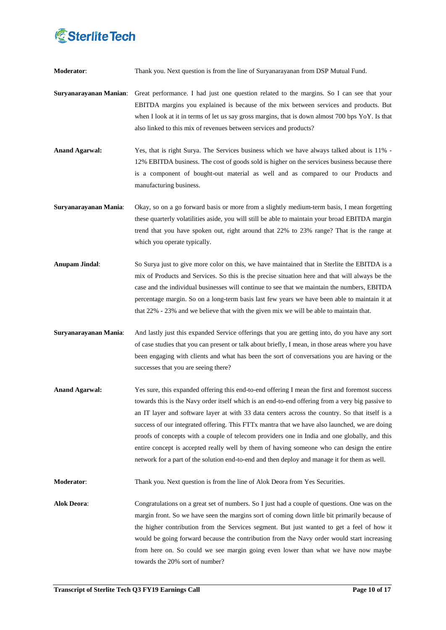

**Moderator**: Thank you. Next question is from the line of Suryanarayanan from DSP Mutual Fund.

- **Suryanarayanan Manian**: Great performance. I had just one question related to the margins. So I can see that your EBITDA margins you explained is because of the mix between services and products. But when I look at it in terms of let us say gross margins, that is down almost 700 bps YoY. Is that also linked to this mix of revenues between services and products?
- **Anand Agarwal:** Yes, that is right Surya. The Services business which we have always talked about is 11% 12% EBITDA business. The cost of goods sold is higher on the services business because there is a component of bought-out material as well and as compared to our Products and manufacturing business.
- **Suryanarayanan Mania**: Okay, so on a go forward basis or more from a slightly medium-term basis, I mean forgetting these quarterly volatilities aside, you will still be able to maintain your broad EBITDA margin trend that you have spoken out, right around that 22% to 23% range? That is the range at which you operate typically.
- **Anupam Jindal**: So Surya just to give more color on this, we have maintained that in Sterlite the EBITDA is a mix of Products and Services. So this is the precise situation here and that will always be the case and the individual businesses will continue to see that we maintain the numbers, EBITDA percentage margin. So on a long-term basis last few years we have been able to maintain it at that 22% - 23% and we believe that with the given mix we will be able to maintain that.
- **Suryanarayanan Mania**: And lastly just this expanded Service offerings that you are getting into, do you have any sort of case studies that you can present or talk about briefly, I mean, in those areas where you have been engaging with clients and what has been the sort of conversations you are having or the successes that you are seeing there?
- **Anand Agarwal:** Yes sure, this expanded offering this end-to-end offering I mean the first and foremost success towards this is the Navy order itself which is an end-to-end offering from a very big passive to an IT layer and software layer at with 33 data centers across the country. So that itself is a success of our integrated offering. This FTTx mantra that we have also launched, we are doing proofs of concepts with a couple of telecom providers one in India and one globally, and this entire concept is accepted really well by them of having someone who can design the entire network for a part of the solution end-to-end and then deploy and manage it for them as well.

**Moderator**: Thank you. Next question is from the line of Alok Deora from Yes Securities.

**Alok Deora**: Congratulations on a great set of numbers. So I just had a couple of questions. One was on the margin front. So we have seen the margins sort of coming down little bit primarily because of the higher contribution from the Services segment. But just wanted to get a feel of how it would be going forward because the contribution from the Navy order would start increasing from here on. So could we see margin going even lower than what we have now maybe towards the 20% sort of number?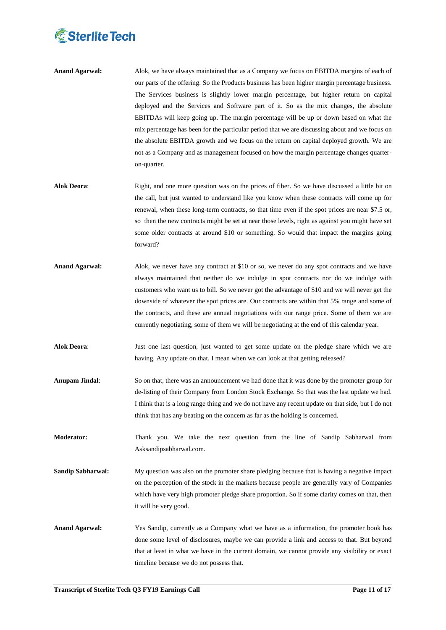

- **Anand Agarwal:** Alok, we have always maintained that as a Company we focus on EBITDA margins of each of our parts of the offering. So the Products business has been higher margin percentage business. The Services business is slightly lower margin percentage, but higher return on capital deployed and the Services and Software part of it. So as the mix changes, the absolute EBITDAs will keep going up. The margin percentage will be up or down based on what the mix percentage has been for the particular period that we are discussing about and we focus on the absolute EBITDA growth and we focus on the return on capital deployed growth. We are not as a Company and as management focused on how the margin percentage changes quarteron-quarter.
- **Alok Deora**: Right, and one more question was on the prices of fiber. So we have discussed a little bit on the call, but just wanted to understand like you know when these contracts will come up for renewal, when these long-term contracts, so that time even if the spot prices are near \$7.5 or, so then the new contracts might be set at near those levels, right as against you might have set some older contracts at around \$10 or something. So would that impact the margins going forward?
- **Anand Agarwal:** Alok, we never have any contract at \$10 or so, we never do any spot contracts and we have always maintained that neither do we indulge in spot contracts nor do we indulge with customers who want us to bill. So we never got the advantage of \$10 and we will never get the downside of whatever the spot prices are. Our contracts are within that 5% range and some of the contracts, and these are annual negotiations with our range price. Some of them we are currently negotiating, some of them we will be negotiating at the end of this calendar year.
- **Alok Deora**: Just one last question, just wanted to get some update on the pledge share which we are having. Any update on that, I mean when we can look at that getting released?
- **Anupam Jindal**: So on that, there was an announcement we had done that it was done by the promoter group for de-listing of their Company from London Stock Exchange. So that was the last update we had. I think that is a long range thing and we do not have any recent update on that side, but I do not think that has any beating on the concern as far as the holding is concerned.
- **Moderator:** Thank you. We take the next question from the line of Sandip Sabharwal from Asksandipsabharwal.com.
- **Sandip Sabharwal:** My question was also on the promoter share pledging because that is having a negative impact on the perception of the stock in the markets because people are generally vary of Companies which have very high promoter pledge share proportion. So if some clarity comes on that, then it will be very good.
- **Anand Agarwal:** Yes Sandip, currently as a Company what we have as a information, the promoter book has done some level of disclosures, maybe we can provide a link and access to that. But beyond that at least in what we have in the current domain, we cannot provide any visibility or exact timeline because we do not possess that.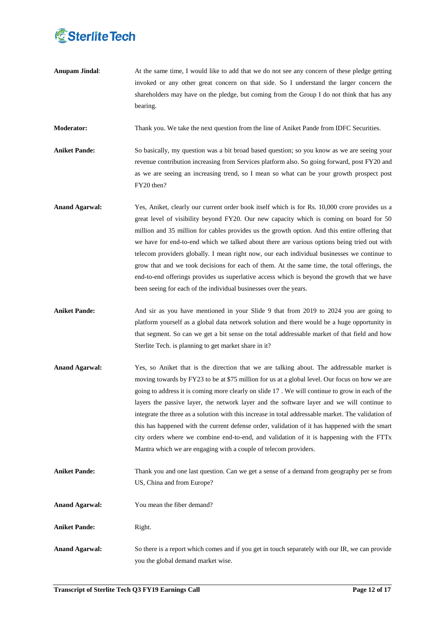

**Anupam Jindal:** At the same time, I would like to add that we do not see any concern of these pledge getting invoked or any other great concern on that side. So I understand the larger concern the shareholders may have on the pledge, but coming from the Group I do not think that has any bearing.

**Moderator:** Thank you. We take the next question from the line of Aniket Pande from IDFC Securities.

Aniket Pande: So basically, my question was a bit broad based question; so you know as we are seeing your revenue contribution increasing from Services platform also. So going forward, post FY20 and as we are seeing an increasing trend, so I mean so what can be your growth prospect post FY20 then?

- Anand Agarwal: Yes, Aniket, clearly our current order book itself which is for Rs. 10,000 crore provides us a great level of visibility beyond FY20. Our new capacity which is coming on board for 50 million and 35 million for cables provides us the growth option. And this entire offering that we have for end-to-end which we talked about there are various options being tried out with telecom providers globally. I mean right now, our each individual businesses we continue to grow that and we took decisions for each of them. At the same time, the total offerings, the end-to-end offerings provides us superlative access which is beyond the growth that we have been seeing for each of the individual businesses over the years.
- **Aniket Pande:** And sir as you have mentioned in your Slide 9 that from 2019 to 2024 you are going to platform yourself as a global data network solution and there would be a huge opportunity in that segment. So can we get a bit sense on the total addressable market of that field and how Sterlite Tech. is planning to get market share in it?
- **Anand Agarwal:** Yes, so Aniket that is the direction that we are talking about. The addressable market is moving towards by FY23 to be at \$75 million for us at a global level. Our focus on how we are going to address it is coming more clearly on slide 17 . We will continue to grow in each of the layers the passive layer, the network layer and the software layer and we will continue to integrate the three as a solution with this increase in total addressable market. The validation of this has happened with the current defense order, validation of it has happened with the smart city orders where we combine end-to-end, and validation of it is happening with the FTTx Mantra which we are engaging with a couple of telecom providers.
- **Aniket Pande:** Thank you and one last question. Can we get a sense of a demand from geography per se from US, China and from Europe?
- **Anand Agarwal:** You mean the fiber demand?
- **Aniket Pande:** Right.
- **Anand Agarwal:** So there is a report which comes and if you get in touch separately with our IR, we can provide you the global demand market wise.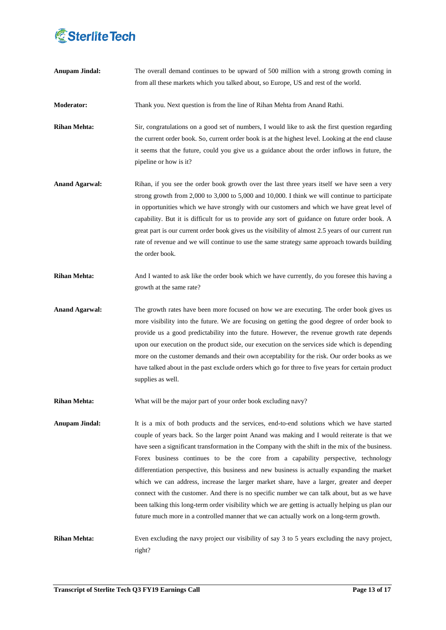

| <b>Anupam Jindal:</b> | The overall demand continues to be upward of 500 million with a strong growth coming in<br>from all these markets which you talked about, so Europe, US and rest of the world.                                                                                                                                                                                                                                                                                                                                                                                                                                                                                                                                                                                                                                                                                                  |
|-----------------------|---------------------------------------------------------------------------------------------------------------------------------------------------------------------------------------------------------------------------------------------------------------------------------------------------------------------------------------------------------------------------------------------------------------------------------------------------------------------------------------------------------------------------------------------------------------------------------------------------------------------------------------------------------------------------------------------------------------------------------------------------------------------------------------------------------------------------------------------------------------------------------|
| Moderator:            | Thank you. Next question is from the line of Rihan Mehta from Anand Rathi.                                                                                                                                                                                                                                                                                                                                                                                                                                                                                                                                                                                                                                                                                                                                                                                                      |
| <b>Rihan Mehta:</b>   | Sir, congratulations on a good set of numbers, I would like to ask the first question regarding<br>the current order book. So, current order book is at the highest level. Looking at the end clause<br>it seems that the future, could you give us a guidance about the order inflows in future, the<br>pipeline or how is it?                                                                                                                                                                                                                                                                                                                                                                                                                                                                                                                                                 |
| <b>Anand Agarwal:</b> | Rihan, if you see the order book growth over the last three years itself we have seen a very<br>strong growth from 2,000 to 3,000 to 5,000 and 10,000. I think we will continue to participate<br>in opportunities which we have strongly with our customers and which we have great level of<br>capability. But it is difficult for us to provide any sort of guidance on future order book. A<br>great part is our current order book gives us the visibility of almost 2.5 years of our current run<br>rate of revenue and we will continue to use the same strategy same approach towards building<br>the order book.                                                                                                                                                                                                                                                       |
| <b>Rihan Mehta:</b>   | And I wanted to ask like the order book which we have currently, do you foresee this having a<br>growth at the same rate?                                                                                                                                                                                                                                                                                                                                                                                                                                                                                                                                                                                                                                                                                                                                                       |
| <b>Anand Agarwal:</b> | The growth rates have been more focused on how we are executing. The order book gives us<br>more visibility into the future. We are focusing on getting the good degree of order book to<br>provide us a good predictability into the future. However, the revenue growth rate depends<br>upon our execution on the product side, our execution on the services side which is depending<br>more on the customer demands and their own acceptability for the risk. Our order books as we<br>have talked about in the past exclude orders which go for three to five years for certain product<br>supplies as well.                                                                                                                                                                                                                                                               |
| Rihan Mehta:          | What will be the major part of your order book excluding navy?                                                                                                                                                                                                                                                                                                                                                                                                                                                                                                                                                                                                                                                                                                                                                                                                                  |
| <b>Anupam Jindal:</b> | It is a mix of both products and the services, end-to-end solutions which we have started<br>couple of years back. So the larger point Anand was making and I would reiterate is that we<br>have seen a significant transformation in the Company with the shift in the mix of the business.<br>Forex business continues to be the core from a capability perspective, technology<br>differentiation perspective, this business and new business is actually expanding the market<br>which we can address, increase the larger market share, have a larger, greater and deeper<br>connect with the customer. And there is no specific number we can talk about, but as we have<br>been talking this long-term order visibility which we are getting is actually helping us plan our<br>future much more in a controlled manner that we can actually work on a long-term growth. |
| <b>Rihan Mehta:</b>   | Even excluding the navy project our visibility of say 3 to 5 years excluding the navy project,<br>right?                                                                                                                                                                                                                                                                                                                                                                                                                                                                                                                                                                                                                                                                                                                                                                        |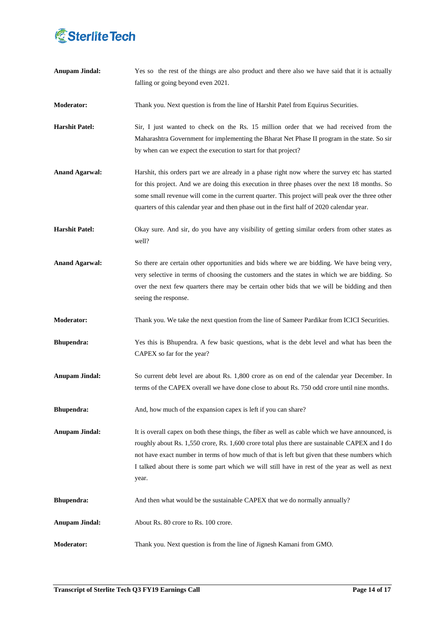

| <b>Anupam Jindal:</b> | Yes so the rest of the things are also product and there also we have said that it is actually<br>falling or going beyond even 2021.                                                                                                                                                                                                                                                                           |
|-----------------------|----------------------------------------------------------------------------------------------------------------------------------------------------------------------------------------------------------------------------------------------------------------------------------------------------------------------------------------------------------------------------------------------------------------|
| <b>Moderator:</b>     | Thank you. Next question is from the line of Harshit Patel from Equirus Securities.                                                                                                                                                                                                                                                                                                                            |
| <b>Harshit Patel:</b> | Sir, I just wanted to check on the Rs. 15 million order that we had received from the<br>Maharashtra Government for implementing the Bharat Net Phase II program in the state. So sir<br>by when can we expect the execution to start for that project?                                                                                                                                                        |
| <b>Anand Agarwal:</b> | Harshit, this orders part we are already in a phase right now where the survey etc has started<br>for this project. And we are doing this execution in three phases over the next 18 months. So<br>some small revenue will come in the current quarter. This project will peak over the three other<br>quarters of this calendar year and then phase out in the first half of 2020 calendar year.              |
| <b>Harshit Patel:</b> | Okay sure. And sir, do you have any visibility of getting similar orders from other states as<br>well?                                                                                                                                                                                                                                                                                                         |
| <b>Anand Agarwal:</b> | So there are certain other opportunities and bids where we are bidding. We have being very,<br>very selective in terms of choosing the customers and the states in which we are bidding. So<br>over the next few quarters there may be certain other bids that we will be bidding and then<br>seeing the response.                                                                                             |
| <b>Moderator:</b>     | Thank you. We take the next question from the line of Sameer Pardikar from ICICI Securities.                                                                                                                                                                                                                                                                                                                   |
| <b>Bhupendra:</b>     | Yes this is Bhupendra. A few basic questions, what is the debt level and what has been the<br>CAPEX so far for the year?                                                                                                                                                                                                                                                                                       |
| <b>Anupam Jindal:</b> | So current debt level are about Rs. 1,800 crore as on end of the calendar year December. In<br>terms of the CAPEX overall we have done close to about Rs. 750 odd crore until nine months.                                                                                                                                                                                                                     |
| <b>Bhupendra:</b>     | And, how much of the expansion capex is left if you can share?                                                                                                                                                                                                                                                                                                                                                 |
| <b>Anupam Jindal:</b> | It is overall capex on both these things, the fiber as well as cable which we have announced, is<br>roughly about Rs. 1,550 crore, Rs. 1,600 crore total plus there are sustainable CAPEX and I do<br>not have exact number in terms of how much of that is left but given that these numbers which<br>I talked about there is some part which we will still have in rest of the year as well as next<br>year. |
| <b>Bhupendra:</b>     | And then what would be the sustainable CAPEX that we do normally annually?                                                                                                                                                                                                                                                                                                                                     |
| <b>Anupam Jindal:</b> | About Rs. 80 crore to Rs. 100 crore.                                                                                                                                                                                                                                                                                                                                                                           |
| <b>Moderator:</b>     | Thank you. Next question is from the line of Jignesh Kamani from GMO.                                                                                                                                                                                                                                                                                                                                          |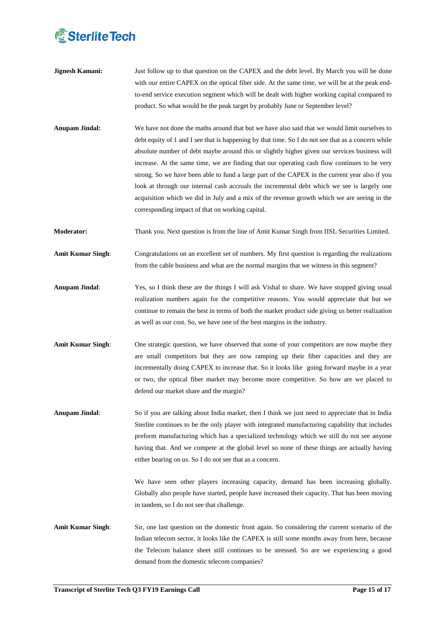

- **Jignesh Kamani:** Just follow up to that question on the CAPEX and the debt level. By March you will be done with our entire CAPEX on the optical fiber side. At the same time, we will be at the peak endto-end service execution segment which will be dealt with higher working capital compared to product. So what would be the peak target by probably June or September level?
- **Anupam Jindal:** We have not done the maths around that but we have also said that we would limit ourselves to debt equity of 1 and I see that is happening by that time. So I do not see that as a concern while absolute number of debt maybe around this or slightly higher given our services business will increase. At the same time, we are finding that our operating cash flow continues to be very strong. So we have been able to fund a large part of the CAPEX in the current year also if you look at through our internal cash accruals the incremental debt which we see is largely one acquisition which we did in July and a mix of the revenue growth which we are seeing in the corresponding impact of that on working capital.
- **Moderator:** Thank you. Next question is from the line of Amit Kumar Singh from IISL Securities Limited.
- **Amit Kumar Singh**: Congratulations on an excellent set of numbers. My first question is regarding the realizations from the cable business and what are the normal margins that we witness in this segment?
- **Anupam Jindal:** Yes, so I think these are the things I will ask Vishal to share. We have stopped giving usual realization numbers again for the competitive reasons. You would appreciate that but we continue to remain the best in terms of both the market product side giving us better realization as well as our cost. So, we have one of the best margins in the industry.
- **Amit Kumar Singh**: One strategic question, we have observed that some of your competitors are now maybe they are small competitors but they are now ramping up their fiber capacities and they are incrementally doing CAPEX to increase that. So it looks like going forward maybe in a year or two, the optical fiber market may become more competitive. So how are we placed to defend our market share and the margin?
- **Anupam Jindal:** So if you are talking about India market, then I think we just need to appreciate that in India Sterlite continues to be the only player with integrated manufacturing capability that includes preform manufacturing which has a specialized technology which we still do not see anyone having that. And we compete at the global level so none of these things are actually having either bearing on us. So I do not see that as a concern.

We have seen other players increasing capacity, demand has been increasing globally. Globally also people have started, people have increased their capacity. That has been moving in tandem, so I do not see that challenge.

Amit Kumar Singh: Sir, one last question on the domestic front again. So considering the current scenario of the Indian telecom sector, it looks like the CAPEX is still some months away from here, because the Telecom balance sheet still continues to be stressed. So are we experiencing a good demand from the domestic telecom companies?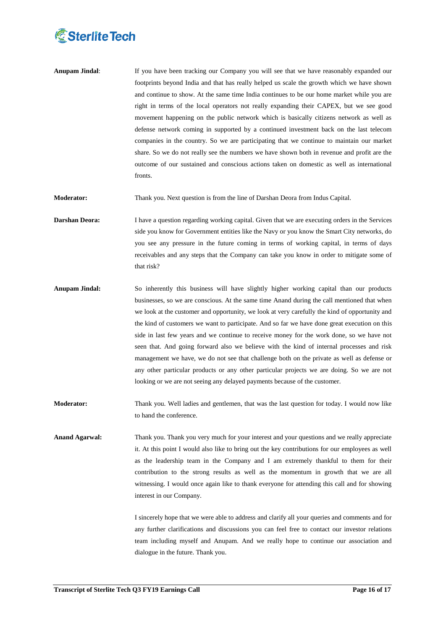

**Anupam Jindal:** If you have been tracking our Company you will see that we have reasonably expanded our footprints beyond India and that has really helped us scale the growth which we have shown and continue to show. At the same time India continues to be our home market while you are right in terms of the local operators not really expanding their CAPEX, but we see good movement happening on the public network which is basically citizens network as well as defense network coming in supported by a continued investment back on the last telecom companies in the country. So we are participating that we continue to maintain our market share. So we do not really see the numbers we have shown both in revenue and profit are the outcome of our sustained and conscious actions taken on domestic as well as international fronts.

**Moderator:** Thank you. Next question is from the line of Darshan Deora from Indus Capital.

- **Darshan Deora:** I have a question regarding working capital. Given that we are executing orders in the Services side you know for Government entities like the Navy or you know the Smart City networks, do you see any pressure in the future coming in terms of working capital, in terms of days receivables and any steps that the Company can take you know in order to mitigate some of that risk?
- **Anupam Jindal:** So inherently this business will have slightly higher working capital than our products businesses, so we are conscious. At the same time Anand during the call mentioned that when we look at the customer and opportunity, we look at very carefully the kind of opportunity and the kind of customers we want to participate. And so far we have done great execution on this side in last few years and we continue to receive money for the work done, so we have not seen that. And going forward also we believe with the kind of internal processes and risk management we have, we do not see that challenge both on the private as well as defense or any other particular products or any other particular projects we are doing. So we are not looking or we are not seeing any delayed payments because of the customer.
- **Moderator:** Thank you. Well ladies and gentlemen, that was the last question for today. I would now like to hand the conference.
- **Anand Agarwal:** Thank you. Thank you very much for your interest and your questions and we really appreciate it. At this point I would also like to bring out the key contributions for our employees as well as the leadership team in the Company and I am extremely thankful to them for their contribution to the strong results as well as the momentum in growth that we are all witnessing. I would once again like to thank everyone for attending this call and for showing interest in our Company.

I sincerely hope that we were able to address and clarify all your queries and comments and for any further clarifications and discussions you can feel free to contact our investor relations team including myself and Anupam. And we really hope to continue our association and dialogue in the future. Thank you.